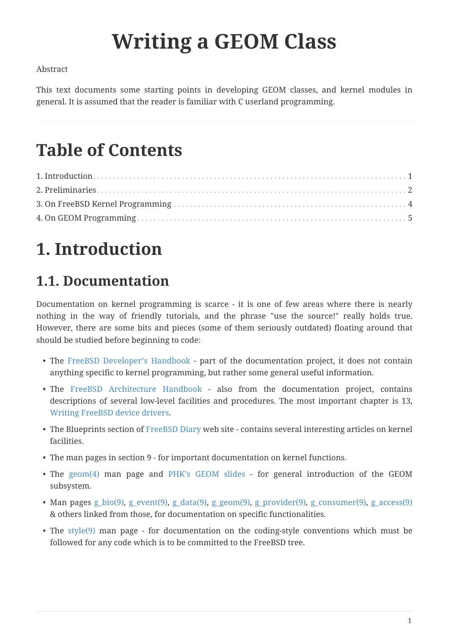# **Writing a GEOM Class**

#### Abstract

This text documents some starting points in developing GEOM classes, and kernel modules in general. It is assumed that the reader is familiar with C userland programming.

### **Table of Contents**

## <span id="page-0-0"></span>**1. Introduction**

#### **1.1. Documentation**

Documentation on kernel programming is scarce - it is one of few areas where there is nearly nothing in the way of friendly tutorials, and the phrase "use the source!" really holds true. However, there are some bits and pieces (some of them seriously outdated) floating around that should be studied before beginning to code:

- The [FreeBSD Developer's Handbook](https://docs.freebsd.org/en/books/developers-handbook/) part of the documentation project, it does not contain anything specific to kernel programming, but rather some general useful information.
- The [FreeBSD Architecture Handbook](https://docs.freebsd.org/en/books/arch-handbook/)  also from the documentation project, contains descriptions of several low-level facilities and procedures. The most important chapter is 13, [Writing FreeBSD device drivers](https://docs.freebsd.org/en/books/arch-handbook/#driverbasics).
- The Blueprints section of [FreeBSD Diary](http://www.freebsddiary.org) web site contains several interesting articles on kernel facilities.
- The man pages in section 9 for important documentation on kernel functions.
- The [geom\(4\)](https://www.freebsd.org/cgi/man.cgi?query=geom&sektion=4&format=html) man page and [PHK's GEOM slides](http://phk.freebsd.dk/pubs/) for general introduction of the GEOM subsystem.
- Man pages [g\\_bio\(9\)](https://www.freebsd.org/cgi/man.cgi?query=g_bio&sektion=9&format=html), [g\\_event\(9\)](https://www.freebsd.org/cgi/man.cgi?query=g_event&sektion=9&format=html), [g\\_data\(9\)](https://www.freebsd.org/cgi/man.cgi?query=g_data&sektion=9&format=html), [g\\_geom\(9\),](https://www.freebsd.org/cgi/man.cgi?query=g_geom&sektion=9&format=html) [g\\_provider\(9\),](https://www.freebsd.org/cgi/man.cgi?query=g_provider&sektion=9&format=html) [g\\_consumer\(9\),](https://www.freebsd.org/cgi/man.cgi?query=g_consumer&sektion=9&format=html) [g\\_access\(9\)](https://www.freebsd.org/cgi/man.cgi?query=g_access&sektion=9&format=html) & others linked from those, for documentation on specific functionalities.
- The [style\(9\)](https://www.freebsd.org/cgi/man.cgi?query=style&sektion=9&format=html) man page for documentation on the coding-style conventions which must be followed for any code which is to be committed to the FreeBSD tree.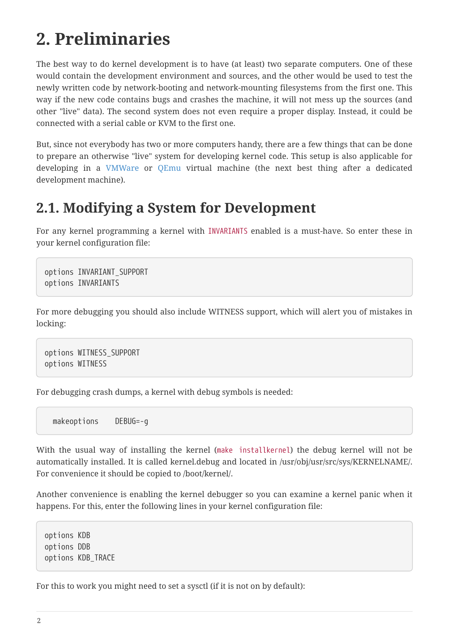### <span id="page-1-0"></span>**2. Preliminaries**

The best way to do kernel development is to have (at least) two separate computers. One of these would contain the development environment and sources, and the other would be used to test the newly written code by network-booting and network-mounting filesystems from the first one. This way if the new code contains bugs and crashes the machine, it will not mess up the sources (and other "live" data). The second system does not even require a proper display. Instead, it could be connected with a serial cable or KVM to the first one.

But, since not everybody has two or more computers handy, there are a few things that can be done to prepare an otherwise "live" system for developing kernel code. This setup is also applicable for developing in a [VMWare](http://www.vmware.com/) or [QEmu](http://www.qemu.org/) virtual machine (the next best thing after a dedicated development machine).

#### **2.1. Modifying a System for Development**

For any kernel programming a kernel with INVARIANTS enabled is a must-have. So enter these in your kernel configuration file:

options INVARIANT\_SUPPORT options INVARIANTS

For more debugging you should also include WITNESS support, which will alert you of mistakes in locking:

options WITNESS\_SUPPORT options WITNESS

For debugging crash dumps, a kernel with debug symbols is needed:

makeoptions DEBUG=-g

With the usual way of installing the kernel (make installkernel) the debug kernel will not be automatically installed. It is called kernel.debug and located in /usr/obj/usr/src/sys/KERNELNAME/. For convenience it should be copied to /boot/kernel/.

Another convenience is enabling the kernel debugger so you can examine a kernel panic when it happens. For this, enter the following lines in your kernel configuration file:

options KDB options DDB options KDB\_TRACE

For this to work you might need to set a sysctl (if it is not on by default):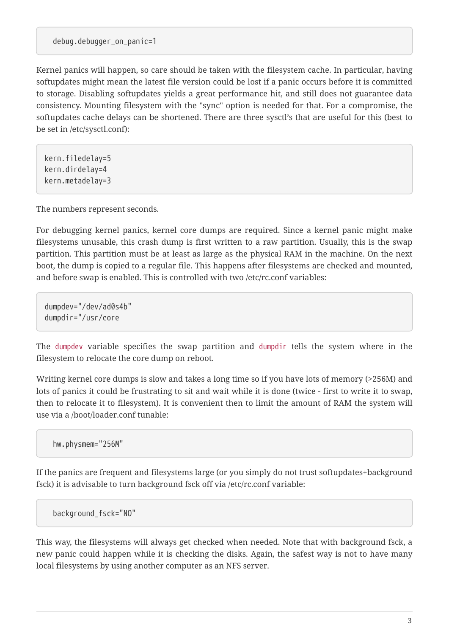debug.debugger\_on\_panic=1

Kernel panics will happen, so care should be taken with the filesystem cache. In particular, having softupdates might mean the latest file version could be lost if a panic occurs before it is committed to storage. Disabling softupdates yields a great performance hit, and still does not guarantee data consistency. Mounting filesystem with the "sync" option is needed for that. For a compromise, the softupdates cache delays can be shortened. There are three sysctl's that are useful for this (best to be set in /etc/sysctl.conf):

kern.filedelay=5 kern.dirdelay=4 kern.metadelay=3

The numbers represent seconds.

For debugging kernel panics, kernel core dumps are required. Since a kernel panic might make filesystems unusable, this crash dump is first written to a raw partition. Usually, this is the swap partition. This partition must be at least as large as the physical RAM in the machine. On the next boot, the dump is copied to a regular file. This happens after filesystems are checked and mounted, and before swap is enabled. This is controlled with two /etc/rc.conf variables:

dumpdev="/dev/ad0s4b" dumpdir="/usr/core

The dumpdev variable specifies the swap partition and dumpdir tells the system where in the filesystem to relocate the core dump on reboot.

Writing kernel core dumps is slow and takes a long time so if you have lots of memory (>256M) and lots of panics it could be frustrating to sit and wait while it is done (twice - first to write it to swap, then to relocate it to filesystem). It is convenient then to limit the amount of RAM the system will use via a /boot/loader.conf tunable:

hw.physmem="256M"

If the panics are frequent and filesystems large (or you simply do not trust softupdates+background fsck) it is advisable to turn background fsck off via /etc/rc.conf variable:

background\_fsck="NO"

This way, the filesystems will always get checked when needed. Note that with background fsck, a new panic could happen while it is checking the disks. Again, the safest way is not to have many local filesystems by using another computer as an NFS server.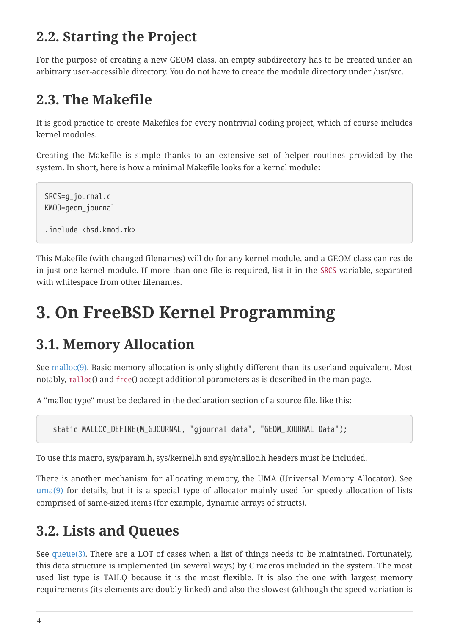#### **2.2. Starting the Project**

For the purpose of creating a new GEOM class, an empty subdirectory has to be created under an arbitrary user-accessible directory. You do not have to create the module directory under /usr/src.

#### **2.3. The Makefile**

It is good practice to create Makefiles for every nontrivial coding project, which of course includes kernel modules.

Creating the Makefile is simple thanks to an extensive set of helper routines provided by the system. In short, here is how a minimal Makefile looks for a kernel module:

SRCS=g\_journal.c KMOD=geom\_journal .include <bsd.kmod.mk>

This Makefile (with changed filenames) will do for any kernel module, and a GEOM class can reside in just one kernel module. If more than one file is required, list it in the SRCS variable, separated with whitespace from other filenames.

### <span id="page-3-0"></span>**3. On FreeBSD Kernel Programming**

#### **3.1. Memory Allocation**

See [malloc\(9\)](https://www.freebsd.org/cgi/man.cgi?query=malloc&sektion=9&format=html). Basic memory allocation is only slightly different than its userland equivalent. Most notably, malloc() and free() accept additional parameters as is described in the man page.

A "malloc type" must be declared in the declaration section of a source file, like this:

static MALLOC\_DEFINE(M\_GJOURNAL, "gjournal data", "GEOM\_JOURNAL Data");

To use this macro, sys/param.h, sys/kernel.h and sys/malloc.h headers must be included.

There is another mechanism for allocating memory, the UMA (Universal Memory Allocator). See [uma\(9\)](https://www.freebsd.org/cgi/man.cgi?query=uma&sektion=9&format=html) for details, but it is a special type of allocator mainly used for speedy allocation of lists comprised of same-sized items (for example, dynamic arrays of structs).

#### **3.2. Lists and Queues**

See [queue\(3\)](https://www.freebsd.org/cgi/man.cgi?query=queue&sektion=3&format=html). There are a LOT of cases when a list of things needs to be maintained. Fortunately, this data structure is implemented (in several ways) by C macros included in the system. The most used list type is TAILQ because it is the most flexible. It is also the one with largest memory requirements (its elements are doubly-linked) and also the slowest (although the speed variation is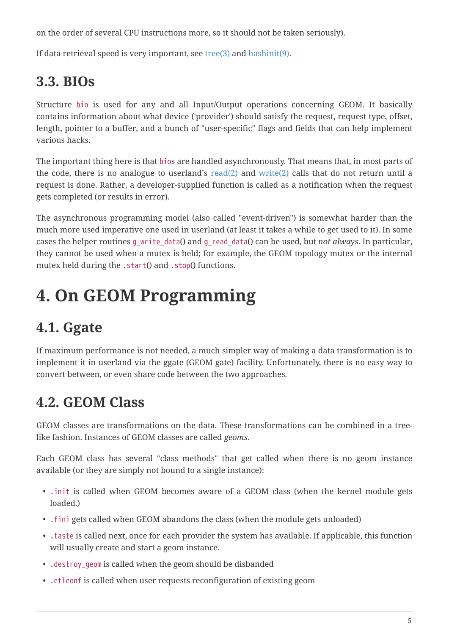on the order of several CPU instructions more, so it should not be taken seriously).

If data retrieval speed is very important, see  $tree(3)$  and [hashinit\(9\).](https://www.freebsd.org/cgi/man.cgi?query=hashinit&sektion=9&format=html)

### **3.3. BIOs**

Structure bio is used for any and all Input/Output operations concerning GEOM. It basically contains information about what device ('provider') should satisfy the request, request type, offset, length, pointer to a buffer, and a bunch of "user-specific" flags and fields that can help implement various hacks.

The important thing here is that bios are handled asynchronously. That means that, in most parts of the code, there is no analogue to userland's  $read(2)$  and [write\(2\)](https://www.freebsd.org/cgi/man.cgi?query=write&sektion=2&format=html) calls that do not return until a request is done. Rather, a developer-supplied function is called as a notification when the request gets completed (or results in error).

The asynchronous programming model (also called "event-driven") is somewhat harder than the much more used imperative one used in userland (at least it takes a while to get used to it). In some cases the helper routines g\_write\_data() and g\_read\_data() can be used, but *not always*. In particular, they cannot be used when a mutex is held; for example, the GEOM topology mutex or the internal mutex held during the .start() and .stop() functions.

### <span id="page-4-0"></span>**4. On GEOM Programming**

### **4.1. Ggate**

If maximum performance is not needed, a much simpler way of making a data transformation is to implement it in userland via the ggate (GEOM gate) facility. Unfortunately, there is no easy way to convert between, or even share code between the two approaches.

#### **4.2. GEOM Class**

GEOM classes are transformations on the data. These transformations can be combined in a treelike fashion. Instances of GEOM classes are called *geoms*.

Each GEOM class has several "class methods" that get called when there is no geom instance available (or they are simply not bound to a single instance):

- .init is called when GEOM becomes aware of a GEOM class (when the kernel module gets loaded.)
- .fini gets called when GEOM abandons the class (when the module gets unloaded)
- .taste is called next, once for each provider the system has available. If applicable, this function will usually create and start a geom instance.
- . destroy geom is called when the geom should be disbanded
- .ctlconf is called when user requests reconfiguration of existing geom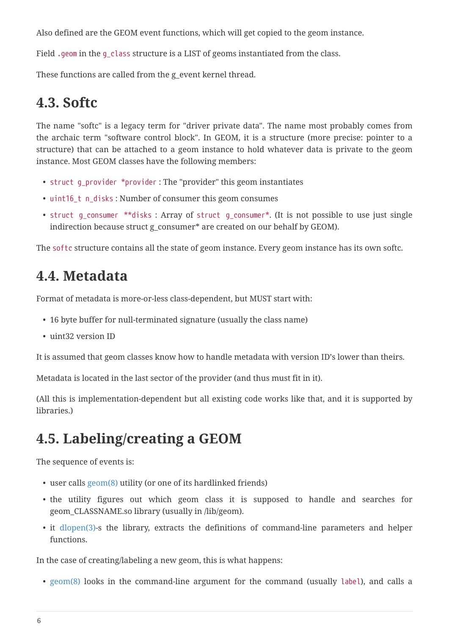Also defined are the GEOM event functions, which will get copied to the geom instance.

Field .geom in the g\_class structure is a LIST of geoms instantiated from the class.

These functions are called from the g\_event kernel thread.

#### **4.3. Softc**

The name "softc" is a legacy term for "driver private data". The name most probably comes from the archaic term "software control block". In GEOM, it is a structure (more precise: pointer to a structure) that can be attached to a geom instance to hold whatever data is private to the geom instance. Most GEOM classes have the following members:

- struct g\_provider \*provider : The "provider" this geom instantiates
- uint16\_t n\_disks : Number of consumer this geom consumes
- struct g\_consumer \*\*disks : Array of struct g\_consumer\*. (It is not possible to use just single indirection because struct g\_consumer\* are created on our behalf by GEOM).

The softc structure contains all the state of geom instance. Every geom instance has its own softc.

#### **4.4. Metadata**

Format of metadata is more-or-less class-dependent, but MUST start with:

- 16 byte buffer for null-terminated signature (usually the class name)
- uint32 version ID

It is assumed that geom classes know how to handle metadata with version ID's lower than theirs.

Metadata is located in the last sector of the provider (and thus must fit in it).

(All this is implementation-dependent but all existing code works like that, and it is supported by libraries.)

#### **4.5. Labeling/creating a GEOM**

The sequence of events is:

- user calls [geom\(8\)](https://www.freebsd.org/cgi/man.cgi?query=geom&sektion=8&format=html) utility (or one of its hardlinked friends)
- the utility figures out which geom class it is supposed to handle and searches for geom\_CLASSNAME.so library (usually in /lib/geom).
- it [dlopen\(3\)-](https://www.freebsd.org/cgi/man.cgi?query=dlopen&sektion=3&format=html)s the library, extracts the definitions of command-line parameters and helper functions.

In the case of creating/labeling a new geom, this is what happens:

• [geom\(8\)](https://www.freebsd.org/cgi/man.cgi?query=geom&sektion=8&format=html) looks in the command-line argument for the command (usually label), and calls a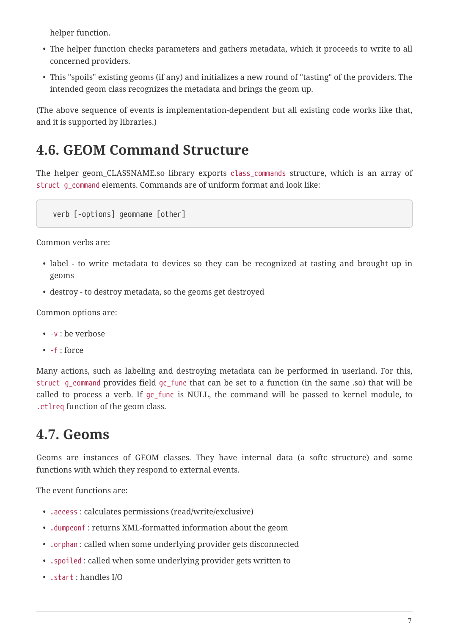helper function.

- The helper function checks parameters and gathers metadata, which it proceeds to write to all concerned providers.
- This "spoils" existing geoms (if any) and initializes a new round of "tasting" of the providers. The intended geom class recognizes the metadata and brings the geom up.

(The above sequence of events is implementation-dependent but all existing code works like that, and it is supported by libraries.)

#### **4.6. GEOM Command Structure**

The helper geom\_CLASSNAME.so library exports class\_commands structure, which is an array of struct g\_command elements. Commands are of uniform format and look like:

verb [-options] geomname [other]

Common verbs are:

- label to write metadata to devices so they can be recognized at tasting and brought up in geoms
- destroy to destroy metadata, so the geoms get destroyed

Common options are:

- -v : be verbose
- -f : force

Many actions, such as labeling and destroying metadata can be performed in userland. For this, struct g command provides field gc func that can be set to a function (in the same .so) that will be called to process a verb. If gc\_func is NULL, the command will be passed to kernel module, to .ctlreq function of the geom class.

#### **4.7. Geoms**

Geoms are instances of GEOM classes. They have internal data (a softc structure) and some functions with which they respond to external events.

The event functions are:

- .access : calculates permissions (read/write/exclusive)
- .dumpconf : returns XML-formatted information about the geom
- .orphan : called when some underlying provider gets disconnected
- .spoiled : called when some underlying provider gets written to
- .start : handles I/O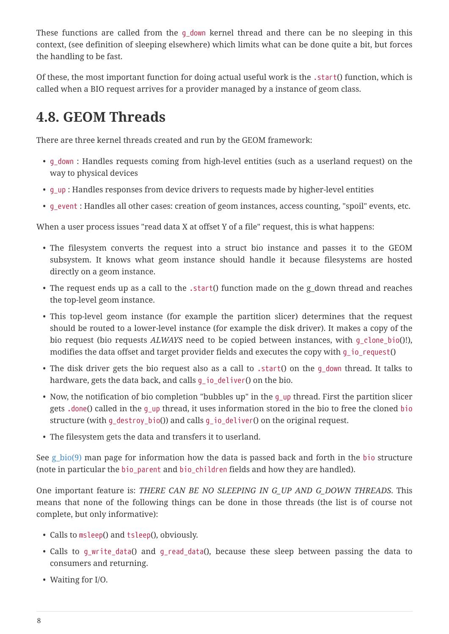These functions are called from the q\_down kernel thread and there can be no sleeping in this context, (see definition of sleeping elsewhere) which limits what can be done quite a bit, but forces the handling to be fast.

Of these, the most important function for doing actual useful work is the .start() function, which is called when a BIO request arrives for a provider managed by a instance of geom class.

#### **4.8. GEOM Threads**

There are three kernel threads created and run by the GEOM framework:

- g\_down : Handles requests coming from high-level entities (such as a userland request) on the way to physical devices
- g\_up : Handles responses from device drivers to requests made by higher-level entities
- g\_event : Handles all other cases: creation of geom instances, access counting, "spoil" events, etc.

When a user process issues "read data X at offset Y of a file" request, this is what happens:

- The filesystem converts the request into a struct bio instance and passes it to the GEOM subsystem. It knows what geom instance should handle it because filesystems are hosted directly on a geom instance.
- The request ends up as a call to the .start() function made on the g\_down thread and reaches the top-level geom instance.
- This top-level geom instance (for example the partition slicer) determines that the request should be routed to a lower-level instance (for example the disk driver). It makes a copy of the bio request (bio requests *ALWAYS* need to be copied between instances, with g\_clone\_bio()!), modifies the data offset and target provider fields and executes the copy with q\_io\_request()
- The disk driver gets the bio request also as a call to .start() on the g\_down thread. It talks to hardware, gets the data back, and calls g\_io\_deliver() on the bio.
- Now, the notification of bio completion "bubbles up" in the q\_up thread. First the partition slicer gets .done() called in the g\_up thread, it uses information stored in the bio to free the cloned bio structure (with g\_destroy\_bio()) and calls g\_io\_deliver() on the original request.
- The filesystem gets the data and transfers it to userland.

See g  $bio(9)$  man page for information how the data is passed back and forth in the bio structure (note in particular the bio\_parent and bio\_children fields and how they are handled).

One important feature is: *THERE CAN BE NO SLEEPING IN G\_UP AND G\_DOWN THREADS*. This means that none of the following things can be done in those threads (the list is of course not complete, but only informative):

- Calls to msleep() and tsleep(), obviously.
- Calls to g\_write\_data() and g\_read\_data(), because these sleep between passing the data to consumers and returning.
- Waiting for I/O.